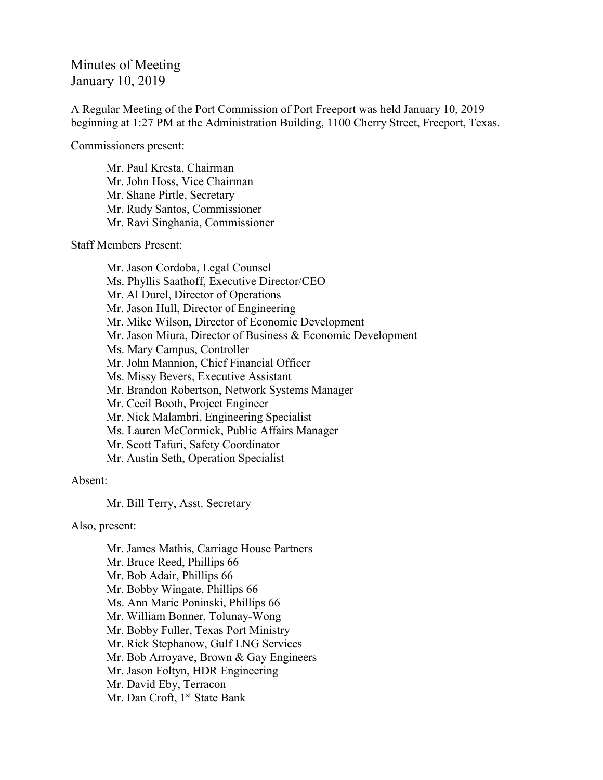## Minutes of Meeting January 10, 2019

A Regular Meeting of the Port Commission of Port Freeport was held January 10, 2019 beginning at 1:27 PM at the Administration Building, 1100 Cherry Street, Freeport, Texas.

Commissioners present:

Mr. Paul Kresta, Chairman Mr. John Hoss, Vice Chairman Mr. Shane Pirtle, Secretary Mr. Rudy Santos, Commissioner Mr. Ravi Singhania, Commissioner

Staff Members Present:

Mr. Jason Cordoba, Legal Counsel Ms. Phyllis Saathoff, Executive Director/CEO Mr. Al Durel, Director of Operations Mr. Jason Hull, Director of Engineering Mr. Mike Wilson, Director of Economic Development Mr. Jason Miura, Director of Business & Economic Development Ms. Mary Campus, Controller Mr. John Mannion, Chief Financial Officer Ms. Missy Bevers, Executive Assistant Mr. Brandon Robertson, Network Systems Manager Mr. Cecil Booth, Project Engineer Mr. Nick Malambri, Engineering Specialist Ms. Lauren McCormick, Public Affairs Manager Mr. Scott Tafuri, Safety Coordinator Mr. Austin Seth, Operation Specialist

## Absent:

Mr. Bill Terry, Asst. Secretary

Also, present:

Mr. James Mathis, Carriage House Partners Mr. Bruce Reed, Phillips 66 Mr. Bob Adair, Phillips 66 Mr. Bobby Wingate, Phillips 66 Ms. Ann Marie Poninski, Phillips 66 Mr. William Bonner, Tolunay-Wong Mr. Bobby Fuller, Texas Port Ministry Mr. Rick Stephanow, Gulf LNG Services Mr. Bob Arroyave, Brown & Gay Engineers Mr. Jason Foltyn, HDR Engineering Mr. David Eby, Terracon Mr. Dan Croft, 1<sup>st</sup> State Bank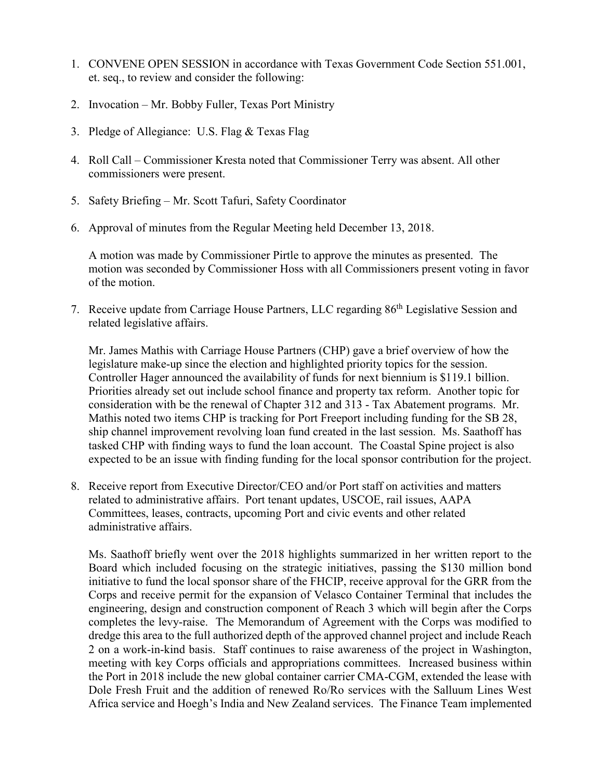- 1. CONVENE OPEN SESSION in accordance with Texas Government Code Section 551.001, et. seq., to review and consider the following:
- 2. Invocation Mr. Bobby Fuller, Texas Port Ministry
- 3. Pledge of Allegiance: U.S. Flag & Texas Flag
- 4. Roll Call Commissioner Kresta noted that Commissioner Terry was absent. All other commissioners were present.
- 5. Safety Briefing Mr. Scott Tafuri, Safety Coordinator
- 6. Approval of minutes from the Regular Meeting held December 13, 2018.

A motion was made by Commissioner Pirtle to approve the minutes as presented. The motion was seconded by Commissioner Hoss with all Commissioners present voting in favor of the motion.

7. Receive update from Carriage House Partners, LLC regarding 86<sup>th</sup> Legislative Session and related legislative affairs.

Mr. James Mathis with Carriage House Partners (CHP) gave a brief overview of how the legislature make-up since the election and highlighted priority topics for the session. Controller Hager announced the availability of funds for next biennium is \$119.1 billion. Priorities already set out include school finance and property tax reform. Another topic for consideration with be the renewal of Chapter 312 and 313 - Tax Abatement programs. Mr. Mathis noted two items CHP is tracking for Port Freeport including funding for the SB 28, ship channel improvement revolving loan fund created in the last session. Ms. Saathoff has tasked CHP with finding ways to fund the loan account. The Coastal Spine project is also expected to be an issue with finding funding for the local sponsor contribution for the project.

8. Receive report from Executive Director/CEO and/or Port staff on activities and matters related to administrative affairs. Port tenant updates, USCOE, rail issues, AAPA Committees, leases, contracts, upcoming Port and civic events and other related administrative affairs.

Ms. Saathoff briefly went over the 2018 highlights summarized in her written report to the Board which included focusing on the strategic initiatives, passing the \$130 million bond initiative to fund the local sponsor share of the FHCIP, receive approval for the GRR from the Corps and receive permit for the expansion of Velasco Container Terminal that includes the engineering, design and construction component of Reach 3 which will begin after the Corps completes the levy-raise. The Memorandum of Agreement with the Corps was modified to dredge this area to the full authorized depth of the approved channel project and include Reach 2 on a work-in-kind basis. Staff continues to raise awareness of the project in Washington, meeting with key Corps officials and appropriations committees. Increased business within the Port in 2018 include the new global container carrier CMA-CGM, extended the lease with Dole Fresh Fruit and the addition of renewed Ro/Ro services with the Salluum Lines West Africa service and Hoegh's India and New Zealand services. The Finance Team implemented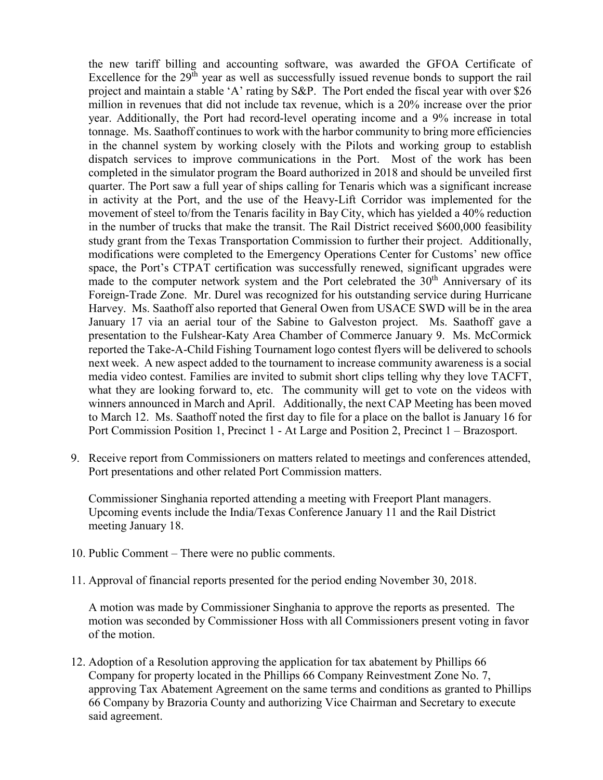the new tariff billing and accounting software, was awarded the GFOA Certificate of Excellence for the  $29<sup>th</sup>$  year as well as successfully issued revenue bonds to support the rail project and maintain a stable 'A' rating by S&P. The Port ended the fiscal year with over \$26 million in revenues that did not include tax revenue, which is a 20% increase over the prior year. Additionally, the Port had record-level operating income and a 9% increase in total tonnage. Ms. Saathoff continues to work with the harbor community to bring more efficiencies in the channel system by working closely with the Pilots and working group to establish dispatch services to improve communications in the Port. Most of the work has been completed in the simulator program the Board authorized in 2018 and should be unveiled first quarter. The Port saw a full year of ships calling for Tenaris which was a significant increase in activity at the Port, and the use of the Heavy-Lift Corridor was implemented for the movement of steel to/from the Tenaris facility in Bay City, which has yielded a 40% reduction in the number of trucks that make the transit. The Rail District received \$600,000 feasibility study grant from the Texas Transportation Commission to further their project. Additionally, modifications were completed to the Emergency Operations Center for Customs' new office space, the Port's CTPAT certification was successfully renewed, significant upgrades were made to the computer network system and the Port celebrated the  $30<sup>th</sup>$  Anniversary of its Foreign-Trade Zone. Mr. Durel was recognized for his outstanding service during Hurricane Harvey. Ms. Saathoff also reported that General Owen from USACE SWD will be in the area January 17 via an aerial tour of the Sabine to Galveston project. Ms. Saathoff gave a presentation to the Fulshear-Katy Area Chamber of Commerce January 9. Ms. McCormick reported the Take-A-Child Fishing Tournament logo contest flyers will be delivered to schools next week. A new aspect added to the tournament to increase community awareness is a social media video contest. Families are invited to submit short clips telling why they love TACFT, what they are looking forward to, etc. The community will get to vote on the videos with winners announced in March and April. Additionally, the next CAP Meeting has been moved to March 12. Ms. Saathoff noted the first day to file for a place on the ballot is January 16 for Port Commission Position 1, Precinct 1 - At Large and Position 2, Precinct 1 – Brazosport.

9. Receive report from Commissioners on matters related to meetings and conferences attended, Port presentations and other related Port Commission matters.

Commissioner Singhania reported attending a meeting with Freeport Plant managers. Upcoming events include the India/Texas Conference January 11 and the Rail District meeting January 18.

- 10. Public Comment There were no public comments.
- 11. Approval of financial reports presented for the period ending November 30, 2018.

A motion was made by Commissioner Singhania to approve the reports as presented. The motion was seconded by Commissioner Hoss with all Commissioners present voting in favor of the motion.

12. Adoption of a Resolution approving the application for tax abatement by Phillips 66 Company for property located in the Phillips 66 Company Reinvestment Zone No. 7, approving Tax Abatement Agreement on the same terms and conditions as granted to Phillips 66 Company by Brazoria County and authorizing Vice Chairman and Secretary to execute said agreement.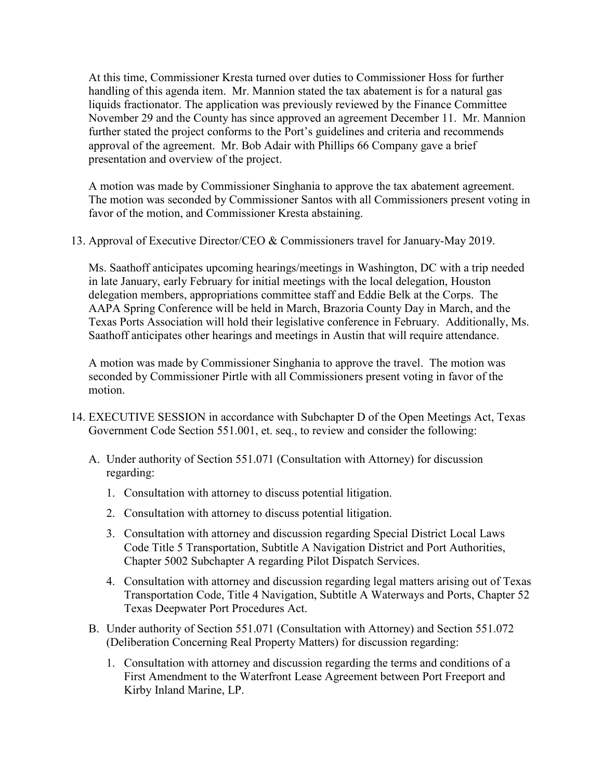At this time, Commissioner Kresta turned over duties to Commissioner Hoss for further handling of this agenda item. Mr. Mannion stated the tax abatement is for a natural gas liquids fractionator. The application was previously reviewed by the Finance Committee November 29 and the County has since approved an agreement December 11. Mr. Mannion further stated the project conforms to the Port's guidelines and criteria and recommends approval of the agreement. Mr. Bob Adair with Phillips 66 Company gave a brief presentation and overview of the project.

A motion was made by Commissioner Singhania to approve the tax abatement agreement. The motion was seconded by Commissioner Santos with all Commissioners present voting in favor of the motion, and Commissioner Kresta abstaining.

13. Approval of Executive Director/CEO & Commissioners travel for January-May 2019.

Ms. Saathoff anticipates upcoming hearings/meetings in Washington, DC with a trip needed in late January, early February for initial meetings with the local delegation, Houston delegation members, appropriations committee staff and Eddie Belk at the Corps. The AAPA Spring Conference will be held in March, Brazoria County Day in March, and the Texas Ports Association will hold their legislative conference in February. Additionally, Ms. Saathoff anticipates other hearings and meetings in Austin that will require attendance.

A motion was made by Commissioner Singhania to approve the travel. The motion was seconded by Commissioner Pirtle with all Commissioners present voting in favor of the motion.

- 14. EXECUTIVE SESSION in accordance with Subchapter D of the Open Meetings Act, Texas Government Code Section 551.001, et. seq., to review and consider the following:
	- A. Under authority of Section 551.071 (Consultation with Attorney) for discussion regarding:
		- 1. Consultation with attorney to discuss potential litigation.
		- 2. Consultation with attorney to discuss potential litigation.
		- 3. Consultation with attorney and discussion regarding Special District Local Laws Code Title 5 Transportation, Subtitle A Navigation District and Port Authorities, Chapter 5002 Subchapter A regarding Pilot Dispatch Services.
		- 4. Consultation with attorney and discussion regarding legal matters arising out of Texas Transportation Code, Title 4 Navigation, Subtitle A Waterways and Ports, Chapter 52 Texas Deepwater Port Procedures Act.
	- B. Under authority of Section 551.071 (Consultation with Attorney) and Section 551.072 (Deliberation Concerning Real Property Matters) for discussion regarding:
		- 1. Consultation with attorney and discussion regarding the terms and conditions of a First Amendment to the Waterfront Lease Agreement between Port Freeport and Kirby Inland Marine, LP.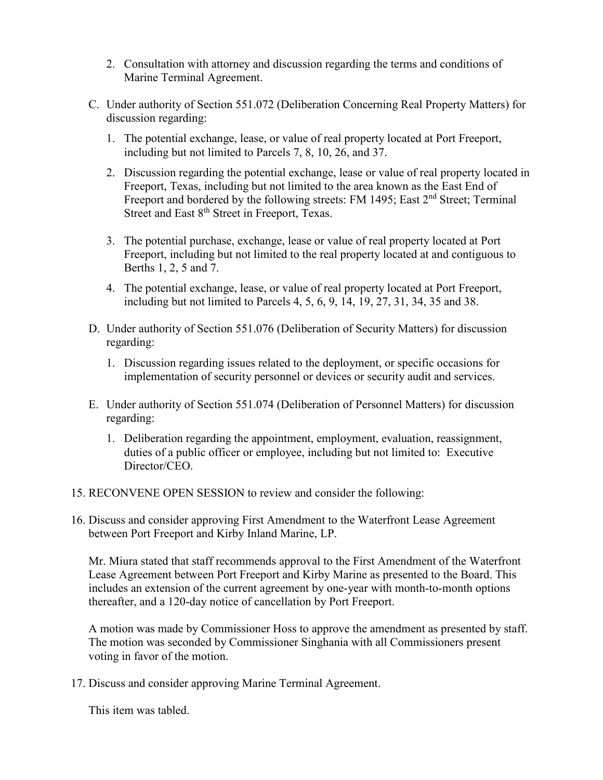- 2. Consultation with attorney and discussion regarding the terms and conditions of Marine Terminal Agreement.
- C. Under authority of Section 551.072 (Deliberation Concerning Real Property Matters) for discussion regarding:
	- 1. The potential exchange, lease, or value of real property located at Port Freeport, including but not limited to Parcels 7, 8, 10, 26, and 37.
	- 2. Discussion regarding the potential exchange, lease or value of real property located in Freeport, Texas, including but not limited to the area known as the East End of Freeport and bordered by the following streets: FM 1495; East 2<sup>nd</sup> Street; Terminal Street and East 8<sup>th</sup> Street in Freeport, Texas.
	- 3. The potential purchase, exchange, lease or value of real property located at Port Freeport, including but not limited to the real property located at and contiguous to Berths 1, 2, 5 and 7.
	- 4. The potential exchange, lease, or value of real property located at Port Freeport, including but not limited to Parcels 4, 5, 6, 9, 14, 19, 27, 31, 34, 35 and 38.
- D. Under authority of Section 551.076 (Deliberation of Security Matters) for discussion regarding:
	- 1. Discussion regarding issues related to the deployment, or specific occasions for implementation of security personnel or devices or security audit and services.
- E. Under authority of Section 551.074 (Deliberation of Personnel Matters) for discussion regarding:
	- 1. Deliberation regarding the appointment, employment, evaluation, reassignment, duties of a public officer or employee, including but not limited to: Executive Director/CEO.
- 15. RECONVENE OPEN SESSION to review and consider the following:
- 16. Discuss and consider approving First Amendment to the Waterfront Lease Agreement between Port Freeport and Kirby Inland Marine, LP.

Mr. Miura stated that staff recommends approval to the First Amendment of the Waterfront Lease Agreement between Port Freeport and Kirby Marine as presented to the Board. This includes an extension of the current agreement by one-year with month-to-month options thereafter, and a 120-day notice of cancellation by Port Freeport.

A motion was made by Commissioner Hoss to approve the amendment as presented by staff. The motion was seconded by Commissioner Singhania with all Commissioners present voting in favor of the motion.

17. Discuss and consider approving Marine Terminal Agreement.

This item was tabled.